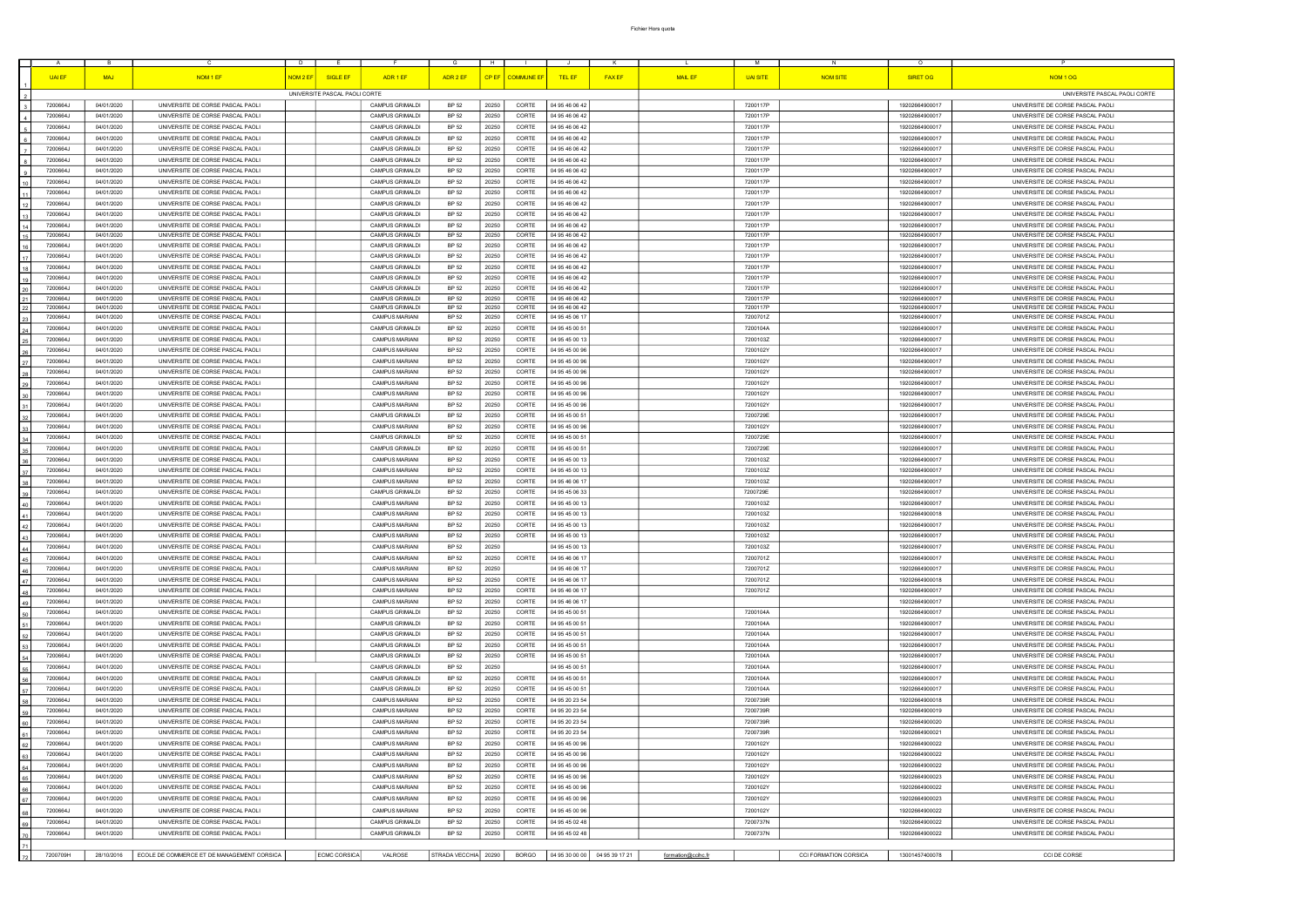|               | -B         | D.                                         | E.                             | H<br>G                 |                    |                | K                               | M                                 | N                     |                 |                                  |
|---------------|------------|--------------------------------------------|--------------------------------|------------------------|--------------------|----------------|---------------------------------|-----------------------------------|-----------------------|-----------------|----------------------------------|
|               |            |                                            |                                |                        |                    |                |                                 |                                   |                       | $\circ$         |                                  |
| <b>UAI EF</b> | <b>MAJ</b> | NOM 1 EF<br>NOM <sub>2</sub> EF            | <b>SIGLE EF</b><br>ADR 1 EF    | ADR 2 EF               | CP EF   COMMUNE ER | <b>TEL EF</b>  | <b>FAX EF</b>                   | <b>MAIL EF</b><br><b>UAI SITE</b> | <b>NOM SITE</b>       | <b>SIRET OG</b> | NOM <sub>1</sub> OG              |
|               |            |                                            |                                |                        |                    |                |                                 |                                   |                       |                 |                                  |
|               |            |                                            |                                |                        |                    |                |                                 |                                   |                       |                 |                                  |
|               |            |                                            | UNIVERSITE PASCAL PAOLI CORTE  |                        |                    |                |                                 |                                   |                       |                 | UNIVERSITE PASCAL PAOLI CORTE    |
| 7200664J      | 04/01/2020 | UNIVERSITE DE CORSE PASCAL PAOLI           | <b>CAMPUS GRIMALDI</b>         | <b>BP 52</b><br>20250  | CORTE              | 04 95 46 06 42 |                                 | 7200117P                          |                       | 19202664900017  | UNIVERSITE DE CORSE PASCAL PAOLI |
|               |            |                                            |                                |                        |                    |                |                                 |                                   |                       |                 |                                  |
| 7200664J      | 04/01/2020 | UNIVERSITE DE CORSE PASCAL PAOLI           | CAMPUS GRIMALDI                | BP 52<br>20250         | CORTE              | 04 95 46 06 42 |                                 | 7200117P                          |                       | 19202664900017  | UNIVERSITE DE CORSE PASCAL PAOLI |
| 7200664J      | 04/01/2020 | UNIVERSITE DE CORSE PASCAL PAOLI           | <b>CAMPUS GRIMALDI</b>         | <b>BP 52</b><br>20250  | CORTE              | 04 95 46 06 42 |                                 | 7200117P                          |                       | 19202664900017  | UNIVERSITE DE CORSE PASCAL PAOLI |
| 7200664J      | 04/01/2020 | UNIVERSITE DE CORSE PASCAL PAOLI           | CAMPUS GRIMALDI                | BP 52<br>20250         | CORTE              | 04 95 46 06 42 |                                 | 7200117P                          |                       | 19202664900017  | UNIVERSITE DE CORSE PASCAL PAOLI |
|               |            |                                            |                                |                        |                    |                |                                 |                                   |                       |                 |                                  |
| 7200664J      | 04/01/2020 | UNIVERSITE DE CORSE PASCAL PAOLI           | CAMPUS GRIMALDI                | BP 52<br>20250         | CORTE              | 04 95 46 06 42 |                                 | 7200117P                          |                       | 19202664900017  | UNIVERSITE DE CORSE PASCAL PAOLI |
| 7200664J      | 04/01/2020 | UNIVERSITE DE CORSE PASCAL PAOLI           | <b>CAMPUS GRIMALDI</b>         | BP 52<br>20250         | CORTE              | 04 95 46 06 42 |                                 | 7200117P                          |                       | 19202664900017  | UNIVERSITE DE CORSE PASCAL PAOLI |
|               |            |                                            |                                |                        |                    |                |                                 |                                   |                       |                 |                                  |
| 7200664J      | 04/01/2020 | UNIVERSITE DE CORSE PASCAL PAOLI           | CAMPUS GRIMALDI                | BP 52<br>20250         | CORTE              | 04 95 46 06 42 |                                 | 7200117P                          |                       | 19202664900017  | UNIVERSITE DE CORSE PASCAL PAOLI |
| 7200664J      | 04/01/2020 | UNIVERSITE DE CORSE PASCAL PAOLI           | CAMPUS GRIMALDI                | BP 52<br>20250         | CORTE              | 04 95 46 06 42 |                                 | 7200117P                          |                       | 19202664900017  | UNIVERSITE DE CORSE PASCAL PAOLI |
|               |            |                                            |                                |                        |                    |                |                                 |                                   |                       |                 |                                  |
| 7200664J      | 04/01/2020 | UNIVERSITE DE CORSE PASCAL PAOLI           | CAMPUS GRIMALDI                | <b>BP 52</b><br>20250  | CORTE              | 04 95 46 06 42 |                                 | 7200117P                          |                       | 19202664900017  | UNIVERSITE DE CORSE PASCAL PAOLI |
| 7200664J      | 04/01/2020 | UNIVERSITE DE CORSE PASCAL PAOLI           | CAMPUS GRIMALDI                | BP 52<br>20250         | CORTE              | 04 95 46 06 42 |                                 | 7200117P                          |                       | 19202664900017  | UNIVERSITE DE CORSE PASCAL PAOLI |
| 7200664J      | 04/01/2020 | UNIVERSITE DE CORSE PASCAL PAOLI           | CAMPUS GRIMALDI                | <b>BP 52</b><br>20250  | CORTE              | 04 95 46 06 42 |                                 | 7200117P                          |                       | 19202664900017  | UNIVERSITE DE CORSE PASCAL PAOLI |
|               |            |                                            |                                |                        |                    |                |                                 |                                   |                       |                 |                                  |
| 7200664J      | 04/01/2020 | UNIVERSITE DE CORSE PASCAL PAOLI           | CAMPUS GRIMALDI                | <b>BP 52</b><br>20250  | CORTE              | 04 95 46 06 42 |                                 | 7200117P                          |                       | 19202664900017  | UNIVERSITE DE CORSE PASCAL PAOLI |
| 7200664J      | 04/01/2020 | UNIVERSITE DE CORSE PASCAL PAOLI           | <b>CAMPUS GRIMALDI</b>         | <b>BP 52</b><br>20250  | CORTE              | 04 95 46 06 42 |                                 | 7200117P                          |                       | 19202664900017  | UNIVERSITE DE CORSE PASCAL PAOLI |
| 7200664J      | 04/01/2020 | UNIVERSITE DE CORSE PASCAL PAOLI           | <b>CAMPUS GRIMALDI</b>         | BP 52<br>20250         | CORTE              | 04 95 46 06 42 |                                 | 7200117P                          |                       | 19202664900017  | UNIVERSITE DE CORSE PASCAL PAOLI |
|               |            |                                            |                                |                        |                    |                |                                 |                                   |                       |                 |                                  |
| 7200664J      | 04/01/2020 | UNIVERSITE DE CORSE PASCAL PAOLI           | CAMPUS GRIMALDI                | BP 52<br>20250         | CORTE              | 04 95 46 06 42 |                                 | 7200117P                          |                       | 19202664900017  | UNIVERSITE DE CORSE PASCAL PAOLI |
| 7200664J      | 04/01/2020 | UNIVERSITE DE CORSE PASCAL PAOLI           | CAMPUS GRIMALDI                | <b>BP 52</b><br>20250  | CORTE              | 04 95 46 06 42 |                                 | 7200117P                          |                       | 19202664900017  | UNIVERSITE DE CORSE PASCAL PAOLI |
|               |            |                                            |                                |                        |                    |                |                                 |                                   |                       |                 |                                  |
| 7200664J      | 04/01/2020 | UNIVERSITE DE CORSE PASCAL PAOLI           | CAMPUS GRIMALDI                | <b>BP 52</b><br>20250  | CORTE              | 04 95 46 06 42 |                                 | 7200117P                          |                       | 19202664900017  | UNIVERSITE DE CORSE PASCAL PAOLI |
| 7200664J      | 04/01/2020 | UNIVERSITE DE CORSE PASCAL PAOLI           | <b>CAMPUS GRIMALDI</b>         | <b>BP 52</b><br>20250  | CORTE              | 04 95 46 06 42 |                                 | 7200117P                          |                       | 19202664900017  | UNIVERSITE DE CORSE PASCAL PAOLI |
| 7200664J      | 04/01/2020 | UNIVERSITE DE CORSE PASCAL PAOLI           | CAMPUS GRIMALDI                | BP 52<br>20250         | CORTE              | 04 95 46 06 42 |                                 | 7200117P                          |                       | 19202664900017  | UNIVERSITE DE CORSE PASCAL PAOLI |
| 7200664J      | 04/01/2020 | UNIVERSITE DE CORSE PASCAL PAOLI           | CAMPUS GRIMALDI                | BP 52<br>20250         | CORTE              | 04 95 46 06 42 |                                 | 7200117P                          |                       | 19202664900017  | UNIVERSITE DE CORSE PASCAL PAOLI |
|               |            |                                            |                                |                        |                    |                |                                 |                                   |                       |                 |                                  |
| 7200664J      | 04/01/2020 | UNIVERSITE DE CORSE PASCAL PAOLI           | <b>CAMPUS MARIANI</b>          | <b>BP 52</b><br>20250  | CORTE              | 04 95 45 06 17 |                                 | 7200701Z                          |                       | 19202664900017  | UNIVERSITE DE CORSE PASCAL PAOLI |
| 7200664J      | 04/01/2020 | UNIVERSITE DE CORSE PASCAL PAOLI           | CAMPUS GRIMALDI                | <b>BP 52</b><br>20250  | CORTE              | 04 95 45 00 51 |                                 | 7200104A                          |                       | 19202664900017  | UNIVERSITE DE CORSE PASCAL PAOLI |
|               |            |                                            |                                | BP 52                  | CORTE              |                |                                 |                                   |                       |                 |                                  |
| 7200664J      | 04/01/2020 | UNIVERSITE DE CORSE PASCAL PAOLI           | <b>CAMPUS MARIANI</b>          | 20250                  |                    | 04 95 45 00 13 |                                 | 7200103Z                          |                       | 19202664900017  | UNIVERSITE DE CORSE PASCAL PAOLI |
| 7200664J      | 04/01/2020 | UNIVERSITE DE CORSE PASCAL PAOLI           | <b>CAMPUS MARIANI</b>          | BP 52<br>20250         | CORTE              | 04 95 45 00 96 |                                 | 7200102Y                          |                       | 19202664900017  | UNIVERSITE DE CORSE PASCAL PAOLI |
| 7200664J      | 04/01/2020 | UNIVERSITE DE CORSE PASCAL PAOLI           | <b>CAMPUS MARIANI</b>          | <b>BP 52</b><br>20250  | CORTE              | 04 95 45 00 96 |                                 | 7200102Y                          |                       | 19202664900017  | UNIVERSITE DE CORSE PASCAL PAOLI |
|               |            |                                            |                                |                        |                    |                |                                 |                                   |                       |                 |                                  |
| 7200664J      | 04/01/2020 | UNIVERSITE DE CORSE PASCAL PAOLI           | <b>CAMPUS MARIANI</b>          | BP 52<br>20250         | CORTE              | 04 95 45 00 96 |                                 | 7200102Y                          |                       | 19202664900017  | UNIVERSITE DE CORSE PASCAL PAOLI |
| 7200664J      | 04/01/2020 | UNIVERSITE DE CORSE PASCAL PAOLI           | <b>CAMPUS MARIANI</b>          | <b>BP 52</b><br>20250  | CORTE              | 04 95 45 00 96 |                                 | 7200102Y                          |                       | 19202664900017  | UNIVERSITE DE CORSE PASCAL PAOLI |
| 7200664J      | 04/01/2020 | UNIVERSITE DE CORSE PASCAL PAOLI           | <b>CAMPUS MARIANI</b>          | <b>BP 52</b><br>20250  | CORTE              | 04 95 45 00 96 |                                 | 7200102Y                          |                       | 19202664900017  | UNIVERSITE DE CORSE PASCAL PAOLI |
|               |            |                                            |                                |                        |                    |                |                                 |                                   |                       |                 |                                  |
| 7200664J      | 04/01/2020 | UNIVERSITE DE CORSE PASCAL PAOLI           | <b>CAMPUS MARIANI</b>          | BP 52<br>20250         | CORTE              | 04 95 45 00 96 |                                 | 7200102Y                          |                       | 19202664900017  | UNIVERSITE DE CORSE PASCAL PAOLI |
| 7200664J      | 04/01/2020 | UNIVERSITE DE CORSE PASCAL PAOLI           | CAMPUS GRIMALDI                | BP 52<br>20250         | CORTE              | 04 95 45 00 51 |                                 | 7200729E                          |                       | 19202664900017  | UNIVERSITE DE CORSE PASCAL PAOLI |
|               | 04/01/2020 | UNIVERSITE DE CORSE PASCAL PAOLI           | <b>CAMPUS MARIANI</b>          | <b>BP 52</b><br>20250  | CORTE              | 04 95 45 00 96 |                                 | 7200102Y                          |                       | 19202664900017  | UNIVERSITE DE CORSE PASCAL PAOLI |
| 7200664J      |            |                                            |                                |                        |                    |                |                                 |                                   |                       |                 |                                  |
| 7200664J      | 04/01/2020 | UNIVERSITE DE CORSE PASCAL PAOLI           | <b>CAMPUS GRIMALDI</b>         | BP 52<br>20250         | CORTE              | 04 95 45 00 51 |                                 | 7200729E                          |                       | 19202664900017  | UNIVERSITE DE CORSE PASCAL PAOLI |
| 7200664J      | 04/01/2020 | UNIVERSITE DE CORSE PASCAL PAOLI           | CAMPUS GRIMALDI                | <b>BP 52</b><br>20250  | CORTE              | 04 95 45 00 51 |                                 | 7200729E                          |                       | 19202664900017  | UNIVERSITE DE CORSE PASCAL PAOLI |
|               |            |                                            |                                |                        |                    |                |                                 |                                   |                       |                 |                                  |
| 7200664J      | 04/01/2020 | UNIVERSITE DE CORSE PASCAL PAOLI           | <b>CAMPUS MARIANI</b>          | BP 52<br>20250         | CORTE              | 04 95 45 00 13 |                                 | 7200103Z                          |                       | 19202664900017  | UNIVERSITE DE CORSE PASCAL PAOLI |
| 7200664J      | 04/01/2020 | UNIVERSITE DE CORSE PASCAL PAOLI           | <b>CAMPUS MARIANI</b>          | BP 52<br>20250         | CORTE              | 04 95 45 00 13 |                                 | 7200103Z                          |                       | 19202664900017  | UNIVERSITE DE CORSE PASCAL PAOLI |
| 7200664J      | 04/01/2020 | UNIVERSITE DE CORSE PASCAL PAOLI           | <b>CAMPUS MARIANI</b>          | BP 52<br>20250         | CORTE              | 04 95 46 06 17 |                                 | 7200103Z                          |                       | 19202664900017  | UNIVERSITE DE CORSE PASCAL PAOLI |
|               |            |                                            |                                |                        |                    |                |                                 |                                   |                       |                 |                                  |
| 7200664J      | 04/01/2020 | UNIVERSITE DE CORSE PASCAL PAOLI           | <b>CAMPUS GRIMALDI</b>         | <b>BP 52</b><br>20250  | CORTE              | 04 95 45 06 33 |                                 | 7200729E                          |                       | 19202664900017  | UNIVERSITE DE CORSE PASCAL PAOLI |
| 7200664J      | 04/01/2020 | UNIVERSITE DE CORSE PASCAL PAOLI           | <b>CAMPUS MARIANI</b>          | BP 52<br>20250         | CORTE              | 04 95 45 00 13 |                                 | 7200103Z                          |                       | 19202664900017  | UNIVERSITE DE CORSE PASCAL PAOLI |
| 7200664J      | 04/01/2020 | UNIVERSITE DE CORSE PASCAL PAOLI           | <b>CAMPUS MARIANI</b>          | <b>BP 52</b><br>20250  | CORTE              | 04 95 45 00 13 |                                 | 7200103Z                          |                       | 19202664900018  | UNIVERSITE DE CORSE PASCAL PAOLI |
|               |            |                                            |                                |                        |                    |                |                                 |                                   |                       |                 |                                  |
| 7200664J      | 04/01/2020 | UNIVERSITE DE CORSE PASCAL PAOLI           | <b>CAMPUS MARIANI</b>          | <b>BP 52</b><br>20250  | CORTE              | 04 95 45 00 13 |                                 | 7200103Z                          |                       | 19202664900017  | UNIVERSITE DE CORSE PASCAL PAOLI |
| 7200664J      | 04/01/2020 | UNIVERSITE DE CORSE PASCAL PAOLI           | <b>CAMPUS MARIANI</b>          | <b>BP 52</b><br>20250  | CORTE              | 04 95 45 00 13 |                                 | 7200103Z                          |                       | 19202664900017  | UNIVERSITE DE CORSE PASCAL PAOLI |
|               |            |                                            |                                |                        |                    |                |                                 |                                   |                       |                 |                                  |
| 7200664J      | 04/01/2020 | UNIVERSITE DE CORSE PASCAL PAOLI           | <b>CAMPUS MARIANI</b>          | <b>BP 52</b><br>20250  |                    | 04 95 45 00 13 |                                 | 7200103Z                          |                       | 19202664900017  | UNIVERSITE DE CORSE PASCAL PAOL  |
| 7200664J      | 04/01/2020 | UNIVERSITE DE CORSE PASCAL PAOLI           | <b>CAMPUS MARIANI</b>          | BP 52<br>20250         | CORTE              | 04 95 46 06 17 |                                 | 7200701Z                          |                       | 19202664900017  | UNIVERSITE DE CORSE PASCAL PAOLI |
| 7200664J      | 04/01/2020 | UNIVERSITE DE CORSE PASCAL PAOLI           | <b>CAMPUS MARIANI</b>          | 20250<br>BP 52         |                    | 04 95 46 06 17 |                                 | 7200701Z                          |                       | 19202664900017  | UNIVERSITE DE CORSE PASCAL PAOLI |
|               |            |                                            |                                |                        |                    |                |                                 |                                   |                       |                 |                                  |
| 7200664J      | 04/01/2020 | UNIVERSITE DE CORSE PASCAL PAOLI           | <b>CAMPUS MARIANI</b>          | <b>BP 52</b><br>20250  | CORTE              | 04 95 46 06 17 |                                 | 7200701Z                          |                       | 19202664900018  | UNIVERSITE DE CORSE PASCAL PAOLI |
| 7200664J      | 04/01/2020 | UNIVERSITE DE CORSE PASCAL PAOLI           | <b>CAMPUS MARIANI</b>          | BP 52<br>20250         | CORTE              | 04 95 46 06 17 |                                 | 7200701Z                          |                       | 19202664900017  | UNIVERSITE DE CORSE PASCAL PAOLI |
| 7200664J      | 04/01/2020 | UNIVERSITE DE CORSE PASCAL PAOLI           | <b>CAMPUS MARIANI</b>          | BP 52<br>20250         | CORTE              | 04 95 46 06 17 |                                 |                                   |                       | 19202664900017  | UNIVERSITE DE CORSE PASCAL PAOLI |
|               |            |                                            |                                |                        |                    |                |                                 |                                   |                       |                 |                                  |
| 7200664J      | 04/01/2020 | UNIVERSITE DE CORSE PASCAL PAOLI           | <b>CAMPUS GRIMALDI</b>         | BP 52<br>20250         | CORTE              | 04 95 45 00 51 |                                 | 7200104A                          |                       | 19202664900017  | UNIVERSITE DE CORSE PASCAL PAOLI |
| 7200664J      | 04/01/2020 | UNIVERSITE DE CORSE PASCAL PAOLI           | CAMPUS GRIMALDI                | BP 52<br>20250         | CORTE              | 04 95 45 00 51 |                                 | 7200104A                          |                       | 19202664900017  | UNIVERSITE DE CORSE PASCAL PAOLI |
| 7200664J      | 04/01/2020 | UNIVERSITE DE CORSE PASCAL PAOLI           | CAMPUS GRIMALDI                | BP 52<br>20250         | CORTE              | 04 95 45 00 51 |                                 | 7200104A                          |                       | 19202664900017  | UNIVERSITE DE CORSE PASCAL PAOLI |
|               |            |                                            |                                |                        |                    |                |                                 |                                   |                       |                 |                                  |
| 7200664J      | 04/01/2020 | UNIVERSITE DE CORSE PASCAL PAOLI           | <b>CAMPUS GRIMALDI</b>         | BP 52<br>20250         | CORTE              | 04 95 45 00 51 |                                 | 7200104A                          |                       | 19202664900017  | UNIVERSITE DE CORSE PASCAL PAOLI |
| 7200664J      | 04/01/2020 | UNIVERSITE DE CORSE PASCAL PAOLI           | CAMPUS GRIMALDI                | BP 52<br>20250         | CORTE              | 04 95 45 00 51 |                                 | 7200104A                          |                       | 19202664900017  | UNIVERSITE DE CORSE PASCAL PAOLI |
|               |            |                                            |                                |                        |                    |                |                                 |                                   |                       |                 |                                  |
| 7200664J      | 04/01/2020 | UNIVERSITE DE CORSE PASCAL PAOLI           | CAMPUS GRIMALDI                | BP 52<br>20250         |                    | 04 95 45 00 51 |                                 | 7200104A                          |                       | 19202664900017  | UNIVERSITE DE CORSE PASCAL PAOLI |
| 7200664J      | 04/01/2020 | UNIVERSITE DE CORSE PASCAL PAOLI           | CAMPUS GRIMALDI                | BP 52<br>20250         | CORTE              | 04 95 45 00 51 |                                 | 7200104A                          |                       | 19202664900017  | UNIVERSITE DE CORSE PASCAL PAOLI |
| 7200664J      | 04/01/2020 | UNIVERSITE DE CORSE PASCAL PAOLI           | CAMPUS GRIMALDI                | BP 52<br>20250         | CORTE              | 04 95 45 00 51 |                                 | 7200104A                          |                       | 19202664900017  | UNIVERSITE DE CORSE PASCAL PAOLI |
|               |            |                                            |                                |                        |                    |                |                                 |                                   |                       |                 |                                  |
| 7200664J      | 04/01/2020 | UNIVERSITE DE CORSE PASCAL PAOLI           | CAMPUS MARIANI                 | BP 52<br>20250         | CORTE              | 04 95 20 23 54 |                                 | 7200739R                          |                       | 19202664900018  | UNIVERSITE DE CORSE PASCAL PAOLI |
| 7200664J      | 04/01/2020 | UNIVERSITE DE CORSE PASCAL PAOLI           | <b>CAMPUS MARIANI</b>          | BP 52<br>20250         | CORTE              | 04 95 20 23 54 |                                 | 7200739R                          |                       | 19202664900019  | UNIVERSITE DE CORSE PASCAL PAOLI |
| 7200664J      | 04/01/2020 | UNIVERSITE DE CORSE PASCAL PAOLI           | <b>CAMPUS MARIANI</b>          | BP 52<br>20250         | CORTE              | 04 95 20 23 54 |                                 | 7200739R                          |                       | 19202664900020  | UNIVERSITE DE CORSE PASCAL PAOLI |
|               |            |                                            |                                |                        |                    |                |                                 |                                   |                       |                 |                                  |
| 7200664J      | 04/01/2020 | UNIVERSITE DE CORSE PASCAL PAOLI           | <b>CAMPUS MARIANI</b>          | BP 52<br>20250         | CORTE              | 04 95 20 23 54 |                                 | 7200739R                          |                       | 19202664900021  | UNIVERSITE DE CORSE PASCAL PAOLI |
| 7200664J      | 04/01/2020 | UNIVERSITE DE CORSE PASCAL PAOLI           | <b>CAMPUS MARIANI</b>          | <b>BP 52</b><br>20250  | CORTE              | 04 95 45 00 96 |                                 | 7200102Y                          |                       | 19202664900022  | UNIVERSITE DE CORSE PASCAL PAOLI |
| 7200664J      | 04/01/2020 | UNIVERSITE DE CORSE PASCAL PAOLI           | <b>CAMPUS MARIANI</b>          | BP 52<br>20250         | CORTE              | 04 95 45 00 96 |                                 | 7200102Y                          |                       | 19202664900022  | UNIVERSITE DE CORSE PASCAL PAOLI |
|               |            |                                            |                                |                        |                    |                |                                 |                                   |                       |                 |                                  |
| 7200664J      | 04/01/2020 | UNIVERSITE DE CORSE PASCAL PAOLI           | <b>CAMPUS MARIANI</b>          | BP 52<br>20250         | CORTE              | 04 95 45 00 96 |                                 | 7200102Y                          |                       | 19202664900022  | UNIVERSITE DE CORSE PASCAL PAOLI |
| 7200664J      | 04/01/2020 | UNIVERSITE DE CORSE PASCAL PAOLI           | <b>CAMPUS MARIANI</b>          | BP 52<br>20250         | CORTE              | 04 95 45 00 96 |                                 | 7200102Y                          |                       | 19202664900023  | UNIVERSITE DE CORSE PASCAL PAOLI |
| 7200664J      | 04/01/2020 | UNIVERSITE DE CORSE PASCAL PAOLI           | <b>CAMPUS MARIANI</b>          | BP 52<br>20250         | CORTE              | 04 95 45 00 96 |                                 | 7200102Y                          |                       | 19202664900022  | UNIVERSITE DE CORSE PASCAL PAOLI |
|               |            |                                            |                                |                        |                    |                |                                 |                                   |                       |                 |                                  |
| 7200664J      | 04/01/2020 | UNIVERSITE DE CORSE PASCAL PAOLI           | <b>CAMPUS MARIANI</b>          | BP 52<br>20250         | CORTE              | 04 95 45 00 96 |                                 | 7200102Y                          |                       | 19202664900023  | UNIVERSITE DE CORSE PASCAL PAOLI |
| 7200664J      | 04/01/2020 | UNIVERSITE DE CORSE PASCAL PAOLI           | CAMPUS MARIANI                 | BP 52<br>20250         | CORTE              | 04 95 45 00 96 |                                 | 7200102Y                          |                       | 19202664900022  | UNIVERSITE DE CORSE PASCAL PAOLI |
|               |            |                                            |                                |                        |                    |                |                                 |                                   |                       |                 |                                  |
| 7200664J      | 04/01/2020 | UNIVERSITE DE CORSE PASCAL PAOLI           | CAMPUS GRIMALDI                | <b>BP 52</b><br>20250  | CORTE              | 04 95 45 02 48 |                                 | 7200737N                          |                       | 19202664900022  | UNIVERSITE DE CORSE PASCAL PAOLI |
| 7200664J      | 04/01/2020 | UNIVERSITE DE CORSE PASCAL PAOLI           | CAMPUS GRIMALDI                | BP 52<br>20250         | CORTE              | 04 95 45 02 48 |                                 | 7200737N                          |                       | 19202664900022  | UNIVERSITE DE CORSE PASCAL PAOLI |
|               |            |                                            |                                |                        |                    |                |                                 |                                   |                       |                 |                                  |
|               |            |                                            |                                |                        |                    |                |                                 |                                   |                       |                 |                                  |
| 7200709H      | 28/10/2016 | ECOLE DE COMMERCE ET DE MANAGEMENT CORSICA | <b>ECMC CORSICA</b><br>VALROSE | STRADA VECCHIA   20290 | <b>BORGO</b>       |                | 04 95 30 00 00   04 95 39 17 21 | formation@ccihc.fr                | CCI FORMATION CORSICA | 13001457400078  | CCI DE CORSE                     |

| P.                                                                   |
|----------------------------------------------------------------------|
| NOM <sub>10G</sub>                                                   |
| UNIVERSITE PASCAL PAOLI CORTE                                        |
| UNIVERSITE DE CORSE PASCAL PAOLI                                     |
| UNIVERSITE DE CORSE PASCAL PAOLI                                     |
| UNIVERSITE DE CORSE PASCAL PAOLI                                     |
| UNIVERSITE DE CORSE PASCAL PAOLI                                     |
| UNIVERSITE DE CORSE PASCAL PAOLI                                     |
| UNIVERSITE DE CORSE PASCAL PAOLI                                     |
| UNIVERSITE DE CORSE PASCAL PAOLI                                     |
| UNIVERSITE DE CORSE PASCAL PAOLI                                     |
| UNIVERSITE DE CORSE PASCAL PAOLI                                     |
| UNIVERSITE DE CORSE PASCAL PAOLI                                     |
| UNIVERSITE DE CORSE PASCAL PAOLI                                     |
| UNIVERSITE DE CORSE PASCAL PAOLI<br>UNIVERSITE DE CORSE PASCAL PAOLI |
| UNIVERSITE DE CORSE PASCAL PAOLI                                     |
| UNIVERSITE DE CORSE PASCAL PAOLI                                     |
| UNIVERSITE DE CORSE PASCAL PAOLI                                     |
| UNIVERSITE DE CORSE PASCAL PAOLI                                     |
| UNIVERSITE DE CORSE PASCAL PAOLI                                     |
| UNIVERSITE DE CORSE PASCAL PAOLI                                     |
| UNIVERSITE DE CORSE PASCAL PAOLI                                     |
| UNIVERSITE DE CORSE PASCAL PAOLI<br>UNIVERSITE DE CORSE PASCAL PAOLI |
| UNIVERSITE DE CORSE PASCAL PAOLI                                     |
| UNIVERSITE DE CORSE PASCAL PAOLI                                     |
| UNIVERSITE DE CORSE PASCAL PAOLI                                     |
| UNIVERSITE DE CORSE PASCAL PAOLI                                     |
| UNIVERSITE DE CORSE PASCAL PAOLI                                     |
| UNIVERSITE DE CORSE PASCAL PAOLI                                     |
| UNIVERSITE DE CORSE PASCAL PAOLI                                     |
| UNIVERSITE DE CORSE PASCAL PAOLI                                     |
| UNIVERSITE DE CORSE PASCAL PAOLI                                     |
| UNIVERSITE DE CORSE PASCAL PAOLI                                     |
| UNIVERSITE DE CORSE PASCAL PAOLI                                     |
| UNIVERSITE DE CORSE PASCAL PAOLI                                     |
| UNIVERSITE DE CORSE PASCAL PAOLI                                     |
| UNIVERSITE DE CORSE PASCAL PAOLI<br>UNIVERSITE DE CORSE PASCAL PAOLI |
| UNIVERSITE DE CORSE PASCAL PAOLI                                     |
| UNIVERSITE DE CORSE PASCAL PAOLI                                     |
| UNIVERSITE DE CORSE PASCAL PAOLI                                     |
| UNIVERSITE DE CORSE PASCAL PAOLI                                     |
| UNIVERSITE DE CORSE PASCAL PAOLI                                     |
| UNIVERSITE DE CORSE PASCAL PAOLI                                     |
| UNIVERSITE DE CORSE PASCAL PAOLI                                     |
| UNIVERSITE DE CORSE PASCAL PAOLI                                     |
| UNIVERSITE DE CORSE PASCAL PAOLI                                     |
| UNIVERSITE DE CORSE PASCAL PAOLI<br>UNIVERSITE DE CORSE PASCAL PAOLI |
| UNIVERSITE DE CORSE PASCAL PAOLI                                     |
| UNIVERSITE DE CORSE PASCAL PAOLI                                     |
| UNIVERSITE DE CORSE PASCAL PAOLI                                     |
| UNIVERSITE DE CORSE PASCAL PAOLI                                     |
| UNIVERSITE DE CORSE PASCAL PAOLI                                     |
| UNIVERSITE DE CORSE PASCAL PAOLI                                     |
| UNIVERSITE DE CORSE PASCAL PAOLI                                     |
| UNIVERSITE DE CORSE PASCAL PAOLI                                     |
| UNIVERSITE DE CORSE PASCAL PAOLI                                     |
| UNIVERSITE DE CORSE PASCAL PAOLI                                     |
| UNIVERSITE DE CORSE PASCAL PAOLI                                     |
| UNIVERSITE DE CORSE PASCAL PAOLI                                     |
| UNIVERSITE DE CORSE PASCAL PAOLI                                     |
| UNIVERSITE DE CORSE PASCAL PAOLI                                     |
| UNIVERSITE DE CORSE PASCAL PAOLI<br>UNIVERSITE DE CORSE PASCAL PAOLI |
| UNIVERSITE DE CORSE PASCAL PAOLI                                     |
| UNIVERSITE DE CORSE PASCAL PAOLI                                     |
| UNIVERSITE DE CORSE PASCAL PAOLI                                     |
| UNIVERSITE DE CORSE PASCAL PAOLI                                     |
|                                                                      |
| CCI DE CORSE                                                         |
|                                                                      |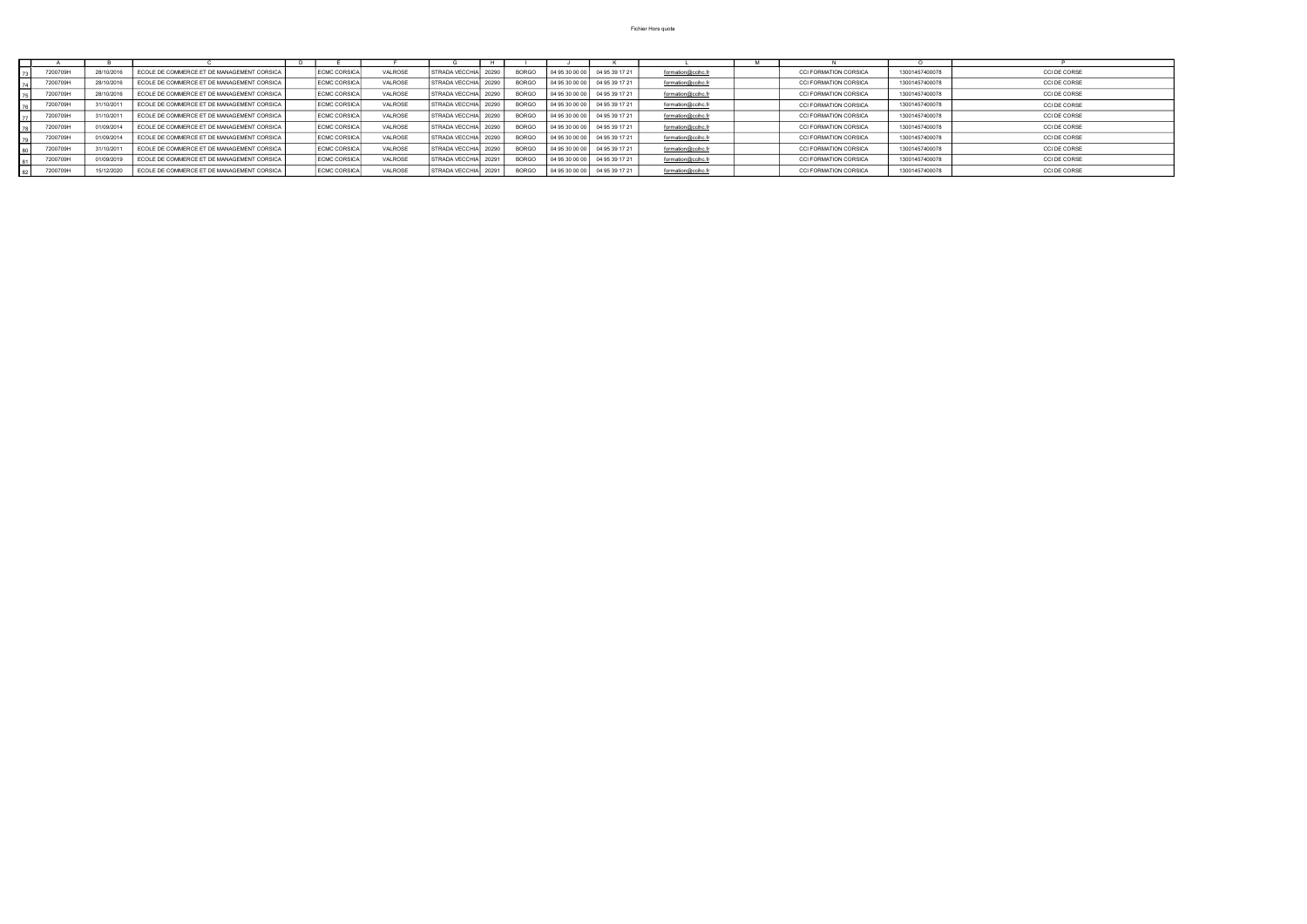| 7200709H | 28/10/2016 | ECOLE DE COMMERCE ET DE MANAGEMENT CORSICA | <b>ECMC CORSICA</b> | <b>VALROSE</b> | STRADA VECCHIA 20290 | <b>BORGO</b> | 04 95 30 00 00 | 04 95 39 17 21                  | formation@ccihc.fr | <b>CCI FORMATION CORSICA</b> | 13001457400078 | <b>CCI DE CORSE</b> |
|----------|------------|--------------------------------------------|---------------------|----------------|----------------------|--------------|----------------|---------------------------------|--------------------|------------------------------|----------------|---------------------|
| 7200709H | 28/10/2016 | ECOLE DE COMMERCE ET DE MANAGEMENT CORSICA | <b>ECMC CORSICA</b> | <b>VALROSE</b> | STRADA VECCHIA 20290 | <b>BORGO</b> | 04 95 30 00 00 | 04 95 39 17 21                  | formation@ccihc.fr | <b>CCI FORMATION CORSICA</b> | 13001457400078 | <b>CCI DE CORSE</b> |
| 7200709H | 28/10/2016 | ECOLE DE COMMERCE ET DE MANAGEMENT CORSICA | <b>ECMC CORSICA</b> | VALROSE        | STRADA VECCHIA 20290 | <b>BORGO</b> |                | 04 95 30 00 00   04 95 39 17 21 | formation@ccihc.fr | <b>CCI FORMATION CORSICA</b> | 13001457400078 | <b>CCI DE CORSE</b> |
| 7200709H | 31/10/2011 | ECOLE DE COMMERCE ET DE MANAGEMENT CORSICA | ECMC CORSICA        | VALROSE        | STRADA VECCHIA 20290 | <b>BORGO</b> |                | 04 95 30 00 00   04 95 39 17 21 | formation@ccihc.fr | <b>CCI FORMATION CORSICA</b> | 13001457400078 | <b>CCI DE CORSE</b> |
| 7200709H | 31/10/2011 | ECOLE DE COMMERCE ET DE MANAGEMENT CORSICA | <b>ECMC CORSICA</b> | <b>VALROSE</b> | STRADA VECCHIA 20290 | <b>BORGO</b> | 04 95 30 00 00 | 04 95 39 17 21                  | formation@ccihc.fr | <b>CCI FORMATION CORSICA</b> | 13001457400078 | CCI DE CORSE        |
| 7200709H | 01/09/2014 | ECOLE DE COMMERCE ET DE MANAGEMENT CORSICA | <b>ECMC CORSICA</b> | <b>VALROSE</b> | STRADA VECCHIA 20290 | <b>BORGO</b> | 04 95 30 00 00 | 04 95 39 17 21                  | formation@ccihc.fr | <b>CCI FORMATION CORSICA</b> | 13001457400078 | CCI DE CORSE        |
| 7200709H | 01/09/2014 | ECOLE DE COMMERCE ET DE MANAGEMENT CORSICA | <b>ECMC CORSICA</b> | VALROSE        | STRADA VECCHIA 20290 | <b>BORGO</b> | 04 95 30 00 00 | 04 95 39 17 21                  | formation@ccihc.fr | <b>CCI FORMATION CORSICA</b> | 13001457400078 | <b>CCI DE CORSE</b> |
| 7200709H | 31/10/2011 | ECOLE DE COMMERCE ET DE MANAGEMENT CORSICA | <b>ECMC CORSICA</b> | <b>VALROSE</b> | STRADA VECCHIA 20290 | <b>BORGO</b> |                | 04 95 30 00 00   04 95 39 17 21 | formation@ccihc.fr | <b>CCI FORMATION CORSICA</b> | 13001457400078 | CCI DE CORSE        |
| 7200709H | 01/09/2019 | ECOLE DE COMMERCE ET DE MANAGEMENT CORSICA | <b>ECMC CORSICA</b> | <b>VALROSE</b> | STRADA VECCHIA 20291 | <b>BORGO</b> |                | 04 95 30 00 00   04 95 39 17 21 | formation@ccihc.fr | <b>CCI FORMATION CORSICA</b> | 13001457400078 | CCI DE CORSE        |
| 7200709H | 15/12/2020 | ECOLE DE COMMERCE ET DE MANAGEMENT CORSICA | <b>ECMC CORSICA</b> | VALROSE        | STRADA VECCHIA 20291 | <b>BORGO</b> | 04 95 30 00 00 | 04 95 39 17 21                  | formation@ccihc.fr | <b>CCI FORMATION CORSICA</b> | 13001457400078 | <b>CCI DE CORSE</b> |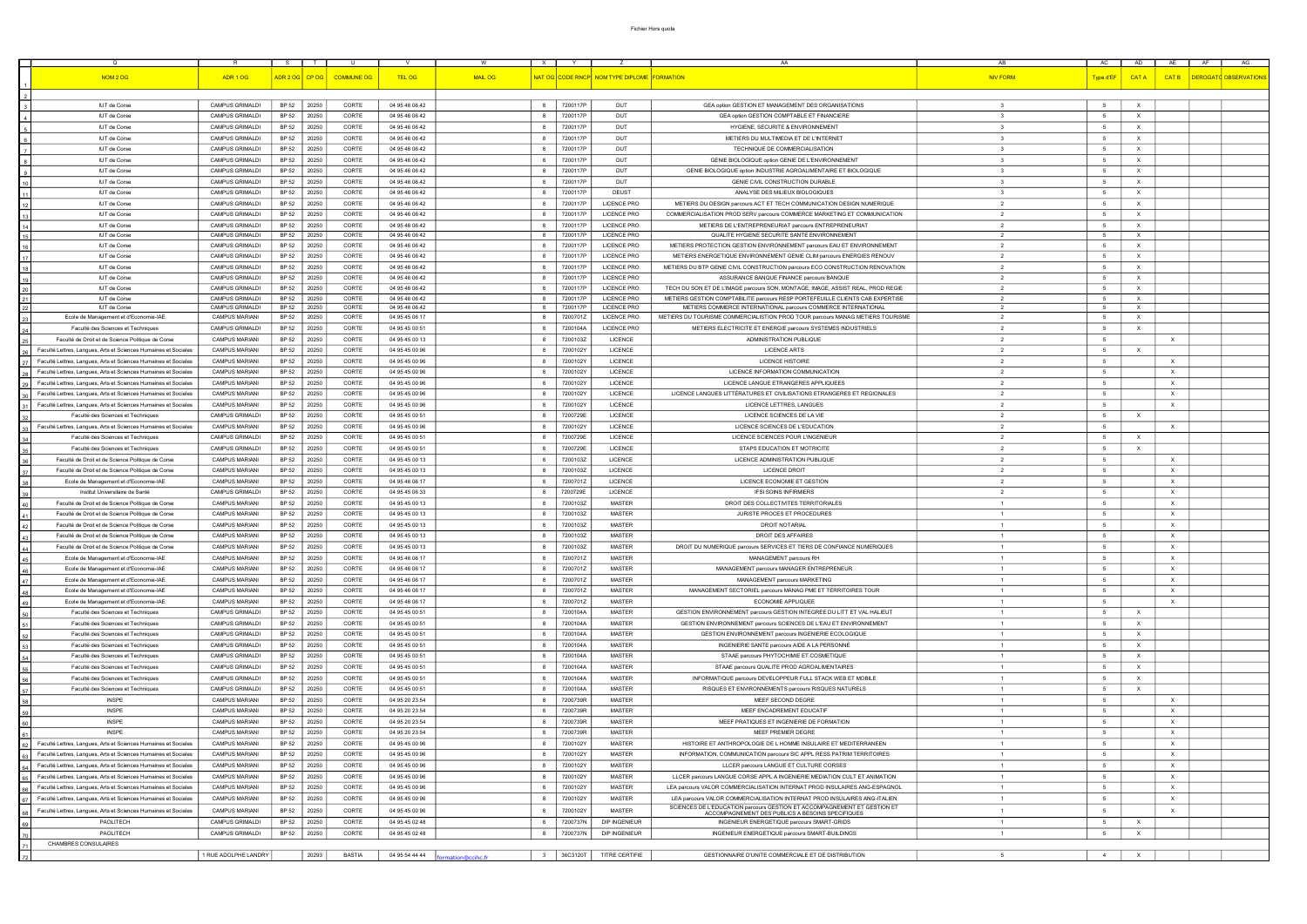| $\Omega$                                                        |                        | S –          |                |                   |                |                 | $\mathsf{X}$            | <b>Y</b> |                                             | AA                                                                              | AB                      | <b>AC</b>       | AD 1                      | AE <sub>1</sub>           | AF<br>AG              |
|-----------------------------------------------------------------|------------------------|--------------|----------------|-------------------|----------------|-----------------|-------------------------|----------|---------------------------------------------|---------------------------------------------------------------------------------|-------------------------|-----------------|---------------------------|---------------------------|-----------------------|
|                                                                 |                        |              |                |                   |                |                 |                         |          |                                             |                                                                                 |                         |                 |                           |                           |                       |
| <b>NOM 2 OG</b>                                                 | ADR 1 OG               |              | ADR 2 OG CP OG | <b>COMMUNE OG</b> | TEL OG         | <b>MAIL OG</b>  |                         |          | NAT OG CODE RNCP NOM TYPE DIPLOME FORMATION |                                                                                 | <b>NIV FORM</b>         | Type d'EF       | CAT A                     | <b>CAT B</b>              | DEROGATO OBSERVATIONS |
|                                                                 |                        |              |                |                   |                |                 |                         |          |                                             |                                                                                 |                         |                 |                           |                           |                       |
|                                                                 |                        |              |                |                   |                |                 |                         |          |                                             |                                                                                 |                         |                 |                           |                           |                       |
| <b>IUT de Corse</b>                                             | CAMPUS GRIMALDI        | BP 52        | 20250          | CORTE             | 04 95 46 06 42 |                 | 8                       | 7200117P | DUT                                         | GEA option GESTION ET MANAGEMENT DES ORGANISATIONS                              | $\mathbf{3}$            | 5               | $\mathsf{x}$              |                           |                       |
| IUT de Corse                                                    | CAMPUS GRIMALDI        | BP 52        | 20250          | CORTE             | 04 95 46 06 42 |                 | 8                       | 7200117P | DUT                                         | GEA option GESTION COMPTABLE ET FINANCIERE                                      | $\mathbf{3}$            | 5               | $\mathsf{X}$              |                           |                       |
|                                                                 |                        |              |                |                   |                |                 |                         |          |                                             |                                                                                 |                         |                 |                           |                           |                       |
| IUT de Corse                                                    | CAMPUS GRIMALDI        | BP 52        | 20250          | CORTE             | 04 95 46 06 42 |                 | - 8                     | 7200117P | DUT                                         | HYGIENE, SECURITE & ENVIRONNEMENT                                               | $\mathbf{3}$            | $5\phantom{.0}$ | $\boldsymbol{\mathsf{X}}$ |                           |                       |
| IUT de Corse                                                    | CAMPUS GRIMALDI        | BP 52        | 20250          | CORTE             | 04 95 46 06 42 |                 | 8                       | 7200117P | DUT                                         | METIERS DU MULTIMEDIA ET DE L'INTERNET                                          | $\mathbf{3}$            | 5               | X                         |                           |                       |
| IUT de Corse                                                    | CAMPUS GRIMALDI        | BP 52        | 20250          | CORTE             | 04 95 46 06 42 |                 | 8                       | 7200117P | DUT                                         | TECHNIQUE DE COMMERCIALISATION                                                  | $\overline{\mathbf{3}}$ | $5^{\circ}$     | $\mathsf{X}$              |                           |                       |
| IUT de Corse                                                    | CAMPUS GRIMALDI        | BP 52        | 20250          | CORTE             | 04 95 46 06 42 |                 | - 8                     | 7200117P | DUT                                         | GENIE BIOLOGIQUE option GENIE DE L'ENVIRONNEMENT                                | $\mathbf{3}$            | - 5             | X.                        |                           |                       |
|                                                                 |                        |              |                |                   |                |                 |                         |          |                                             |                                                                                 |                         |                 |                           |                           |                       |
| <b>IUT de Corse</b>                                             | <b>CAMPUS GRIMALDI</b> | BP 52        | 20250          | CORTE             | 04 95 46 06 42 |                 | -8                      | 7200117P | DUT                                         | GENIE BIOLOGIQUE option INDUSTRIE AGROALIMENTAIRE ET BIOLOGIQUE                 | $\mathbf{3}$            | 5               | $\mathsf{X}$              |                           |                       |
| IUT de Corse                                                    | CAMPUS GRIMALDI        | BP 52        | 20250          | CORTE             | 04 95 46 06 42 |                 | - 8                     | 7200117P | DUT                                         | GENIE CIVIL CONSTRUCTION DURABLE                                                | $\mathbf{3}$            | $5\overline{5}$ | $\mathsf{X}$              |                           |                       |
| IUT de Corse                                                    | CAMPUS GRIMALDI        | BP 52        | 20250          | CORTE             | 04 95 46 06 42 |                 | - 8                     | 7200117P | <b>DEUST</b>                                | ANALYSE DES MILIEUX BIOLOGIQUES                                                 | $\mathbf{3}$            | - 5             | X.                        |                           |                       |
| IUT de Corse                                                    | CAMPUS GRIMALDI        | <b>BP 52</b> | 20250          | CORTE             | 04 95 46 06 42 |                 | 8                       | 7200117P | <b>LICENCE PRO</b>                          | METIERS DU DESIGN parcours ACT ET TECH COMMUNICATION DESIGN NUMERIQUE           | $\overline{2}$          | 5               | $\mathsf{X}$              |                           |                       |
|                                                                 |                        |              |                |                   |                |                 |                         |          |                                             |                                                                                 |                         |                 |                           |                           |                       |
| IUT de Corse                                                    | CAMPUS GRIMALDI        | BP 52        | 20250          | CORTE             | 04 95 46 06 42 |                 | 8                       | 7200117P | <b>LICENCE PRO</b>                          | COMMERCIALISATION PROD SERV parcours COMMERCE MARKETING ET COMMUNICATION        | $\overline{2}$          | 5               | $\boldsymbol{\mathsf{X}}$ |                           |                       |
| IUT de Corse                                                    | CAMPUS GRIMALDI        | BP 52        | 20250          | CORTE             | 04 95 46 06 42 |                 | - 8                     | 7200117P | <b>LICENCE PRO</b>                          | METIERS DE L'ENTREPRENEURIAT parcours ENTREPRENEURIAT                           | 2                       | 5               | X                         |                           |                       |
| IUT de Corse                                                    | CAMPUS GRIMALDI        | <b>BP 52</b> | 20250          | CORTE             | 04 95 46 06 42 |                 | 8                       | 7200117P | <b>LICENCE PRO</b>                          | QUALITE HYGIENE SECURITE SANTE ENVIRONNEMENT                                    | 2                       | 5               | $\mathsf{X}$              |                           |                       |
| IUT de Corse                                                    | CAMPUS GRIMALDI        | BP 52        | 20250          | CORTE             | 04 95 46 06 42 |                 | -8                      | 7200117P | <b>LICENCE PRO</b>                          | METIERS PROTECTION GESTION ENVIRONNEMENT parcours EAU ET ENVIRONNEMENT          | $\overline{2}$          | $-5$            | $\mathsf{X}$              |                           |                       |
|                                                                 |                        |              |                |                   |                |                 |                         |          |                                             |                                                                                 |                         |                 |                           |                           |                       |
| IUT de Corse                                                    | <b>CAMPUS GRIMALDI</b> | <b>BP 52</b> | 20250          | CORTE             | 04 95 46 06 42 |                 | 8                       | 7200117P | <b>LICENCE PRO</b>                          | METIERS ENERGETIQUE ENVIRONNEMENT GENIE CLIM parcours ENERGIES RENOUV           | $\overline{2}$          | 5               | X                         |                           |                       |
| IUT de Corse                                                    | CAMPUS GRIMALDI        | BP 52        | 20250          | CORTE             | 04 95 46 06 42 |                 | 8                       | 7200117P | <b>LICENCE PRO</b>                          | METIERS DU BTP GENIE CIVIL CONSTRUCTION parcours ECO CONSTRUCTION RENOVATION    | $\overline{2}$          | $-5$            | $\mathsf{X}$              |                           |                       |
| <b>IUT de Corse</b>                                             | <b>CAMPUS GRIMALDI</b> | BP 52        | 20250          | CORTE             | 04 95 46 06 42 |                 | 8                       | 7200117P | <b>LICENCE PRO</b>                          | ASSURANCE BANQUE FINANCE parcours BANQUE                                        | $\overline{2}$          | 5               | X                         |                           |                       |
| IUT de Corse                                                    | CAMPUS GRIMALDI        | BP 52        | 20250          | CORTE             | 04 95 46 06 42 |                 | 8                       | 7200117P | <b>LICENCE PRO</b>                          | TECH DU SON ET DE L'IMAGE parcours SON, MONTAGE, IMAGE, ASSIST REAL, PROD REGIE | $\overline{2}$          | 5               | $\mathsf{X}$              |                           |                       |
|                                                                 |                        |              |                |                   |                |                 |                         |          |                                             |                                                                                 |                         |                 |                           |                           |                       |
| IUT de Corse                                                    | CAMPUS GRIMALDI        | BP 52        | 20250          | CORTE             | 04 95 46 06 42 |                 | 8                       | 7200117P | <b>LICENCE PRO</b>                          | METIERS GESTION COMPTABILITE parcours RESP PORTEFEUILLE CLIENTS CAB EXPERTISE   | 2                       | $5\overline{5}$ | $\mathsf{X}$              |                           |                       |
| <b>IUT de Corse</b>                                             | CAMPUS GRIMALDI        | BP 52        | 20250          | CORTE             | 04 95 46 06 42 |                 | 8                       | 7200117P | <b>LICENCE PRO</b>                          | METIERS COMMERCE INTERNATIONAL parcours COMMERCE INTERNATIONAL                  | 2                       | 5               | X                         |                           |                       |
| Ecole de Management et d'Economie-IAE                           | <b>CAMPUS MARIANI</b>  | BP 52        | 20250          | CORTE             | 04 95 45 06 17 |                 | 8                       | 7200701Z | <b>LICENCE PRO</b>                          | METIERS DU TOURISME COMMERCIALISTION PROD TOUR parcours MANAG METIERS TOURISME  | 2                       | 5               | $\mathsf{X}$              |                           |                       |
| Faculté des Sciences et Techniques                              | CAMPUS GRIMALDI        | BP 52        | 20250          | CORTE             | 04 95 45 00 51 |                 | 8                       | 7200104A | <b>LICENCE PRO</b>                          | METIERS ELECTRICITE ET ENERGIE parcours SYSTEMES INDUSTRIELS                    | 2                       | 5               | $\mathsf{X}$              |                           |                       |
| Faculté de Droit et de Science Politique de Corse               | <b>CAMPUS MARIANI</b>  | BP 52        | 20250          | CORTE             | 04 95 45 00 13 |                 | 8                       | 7200103Z | LICENCE                                     | ADMINISTRATION PUBLIQUE                                                         | $\overline{2}$          | $-5$            |                           | X                         |                       |
|                                                                 |                        |              |                |                   |                |                 |                         |          |                                             |                                                                                 |                         |                 |                           |                           |                       |
| Faculté Lettres, Langues, Arts et Sciences Humaines et Sociales | <b>CAMPUS MARIANI</b>  | BP 52        | 20250          | CORTE             | 04 95 45 00 96 |                 |                         | 7200102Y | <b>LICENCE</b>                              | <b>LICENCE ARTS</b>                                                             | $\overline{2}$          | 5               | $\mathsf{x}$              |                           |                       |
| Faculté Lettres, Langues, Arts et Sciences Humaines et Sociales | <b>CAMPUS MARIANI</b>  | BP 52        | 20250          | CORTE             | 04 95 45 00 96 |                 | 8                       | 7200102Y | LICENCE                                     | <b>LICENCE HISTOIRE</b>                                                         | $\overline{2}$          | 5               |                           | $\mathsf{X}$              |                       |
| Faculté Lettres, Langues, Arts et Sciences Humaines et Sociales | <b>CAMPUS MARIANI</b>  | BP 52        | 20250          | CORTE             | 04 95 45 00 96 |                 | -8                      | 7200102Y | <b>LICENCE</b>                              | LICENCE INFORMATION COMMUNICATION                                               | $\overline{2}$          | 5               |                           | $\times$                  |                       |
|                                                                 |                        |              |                | CORTE             |                |                 |                         |          |                                             |                                                                                 | $\overline{2}$          |                 |                           |                           |                       |
| Faculté Lettres, Langues, Arts et Sciences Humaines et Sociales | <b>CAMPUS MARIANI</b>  | BP 52        | 20250          |                   | 04 95 45 00 96 |                 | 8                       | 72001021 | LICENCE                                     | LICENCE LANGUE ETRANGERES APPLIQUEES                                            |                         | 5               |                           | $\times$                  |                       |
| Faculté Lettres, Langues, Arts et Sciences Humaines et Sociales | <b>CAMPUS MARIANI</b>  | <b>BP 52</b> | 20250          | CORTE             | 04 95 45 00 96 |                 | - 8                     | 7200102Y | LICENCE                                     | LICENCE LANGUES LITTÉRATURES ET CIVILISATIONS ETRANGERES ET REGIONALES          | $\overline{2}$          | 5 <sub>5</sub>  |                           | $\mathsf{X}$              |                       |
| Faculté Lettres, Langues, Arts et Sciences Humaines et Sociales | <b>CAMPUS MARIANI</b>  | BP 52        | 20250          | CORTE             | 04 95 45 00 96 |                 | 8                       | 72001021 | LICENCE                                     | LICENCE LETTRES, LANGUES                                                        | $\overline{2}$          | 5               |                           | $\times$                  |                       |
| Faculté des Sciences et Techniques                              | CAMPUS GRIMALDI        | BP 52        | 20250          | CORTE             | 04 95 45 00 51 |                 | - 8                     | 7200729E | LICENCE                                     | LICENCE SCIENCES DE LA VIE                                                      | $\overline{2}$          | 5               | $\mathsf{X}$              |                           |                       |
|                                                                 |                        |              |                |                   |                |                 |                         |          |                                             |                                                                                 |                         |                 |                           |                           |                       |
| Faculté Lettres, Langues, Arts et Sciences Humaines et Sociales | <b>CAMPUS MARIANI</b>  | BP 52        | 20250          | CORTE             | 04 95 45 00 96 |                 | 8                       | 7200102Y | LICENCE                                     | LICENCE SCIENCES DE L'EDUCATION                                                 | $\overline{2}$          | 5               |                           | $\times$                  |                       |
| Faculté des Sciences et Techniques                              | <b>CAMPUS GRIMALDI</b> | BP 52        | 20250          | CORTE             | 04 95 45 00 51 |                 | 8                       | 7200729E | <b>LICENCE</b>                              | LICENCE SCIENCES POUR L'INGENIEUR                                               | $\overline{2}$          | 5               | $\mathsf{X}$              |                           |                       |
| Faculté des Sciences et Techniques                              | <b>CAMPUS GRIMALDI</b> | BP 52        | 20250          | CORTE             | 04 95 45 00 51 |                 | -8                      | 7200729E | LICENCE                                     | STAPS EDUCATION ET MOTRICITE                                                    | $\overline{2}$          | - 5             | $\mathsf{X}$              |                           |                       |
|                                                                 |                        |              |                |                   |                |                 |                         |          |                                             |                                                                                 |                         |                 |                           |                           |                       |
| Faculté de Droit et de Science Politique de Corse               | <b>CAMPUS MARIANI</b>  | BP 52        | 20250          | CORTE             | 04 95 45 00 13 |                 | -8                      | 7200103Z | LICENCE                                     | LICENCE ADMINISTRATION PUBLIQUE                                                 | $\overline{2}$          | 5               |                           | $\mathsf{X}$              |                       |
| Faculté de Droit et de Science Politique de Corse               | <b>CAMPUS MARIANI</b>  | BP 52        | 20250          | CORTE             | 04 95 45 00 13 |                 | -8                      | 7200103Z | <b>LICENCE</b>                              | <b>LICENCE DROIT</b>                                                            | $\overline{2}$          | 5               |                           | $\times$                  |                       |
| Ecole de Management et d'Economie-IAE                           | <b>CAMPUS MARIANI</b>  | BP 52        | 20250          | CORTE             | 04 95 46 06 17 |                 | 8                       | 7200701Z | <b>LICENCE</b>                              | LICENCE ECONOMIE ET GESTION                                                     | $\overline{2}$          | 5               |                           | $\mathsf{X}$              |                       |
|                                                                 |                        |              |                |                   |                |                 |                         |          |                                             | <b>IFSI SOINS INFIRMIERS</b>                                                    |                         |                 |                           |                           |                       |
| Institut Universitaire de Santé                                 | CAMPUS GRIMALDI        | BP 52        | 20250          | CORTE             | 04 95 45 06 33 |                 | 8                       | 7200729E | LICENCE                                     |                                                                                 | $\overline{2}$          | $5^{\circ}$     |                           | $\times$                  |                       |
| Faculté de Droit et de Science Politique de Corse               | <b>CAMPUS MARIANI</b>  | BP 52        | 20250          | CORTE             | 04 95 45 00 13 |                 | -8                      | 7200103Z | <b>MASTER</b>                               | DROIT DES COLLECTIVITES TERRITORIALES                                           | $\overline{1}$          | -5              |                           | $\times$                  |                       |
| Faculté de Droit et de Science Politique de Corse               | <b>CAMPUS MARIAN</b>   | BP 52        | 20250          | CORTE             | 04 95 45 00 13 |                 | - 8                     | 7200103Z | MASTER                                      | JURISTE PROCES ET PROCEDURES                                                    | $\overline{1}$          | $-5$            |                           | $\times$                  |                       |
| Faculté de Droit et de Science Politique de Corse               | <b>CAMPUS MARIANI</b>  | BP 52        | 20250          | CORTE             | 04 95 45 00 13 |                 |                         | 7200103Z | <b>MASTER</b>                               | <b>DROIT NOTARIAL</b>                                                           | $\overline{1}$          | 5               |                           | $\mathsf{X}$              |                       |
|                                                                 |                        |              |                |                   |                |                 |                         |          |                                             |                                                                                 |                         |                 |                           |                           |                       |
| Faculté de Droit et de Science Politique de Corse               | <b>CAMPUS MARIANI</b>  | BP 52        | 20250          | CORTE             | 04 95 45 00 13 |                 | 8                       | 7200103Z | <b>MASTER</b>                               | DROIT DES AFFAIRES                                                              |                         | 5               |                           | $\mathsf{X}$              |                       |
| Faculté de Droit et de Science Politique de Corse               | <b>CAMPUS MARIANI</b>  | <b>BP 52</b> | 20250          | CORTE             | 04 95 45 00 13 |                 |                         | 7200103Z | <b>MASTER</b>                               | DROIT DU NUMERIQUE parcours SERVICES ET TIERS DE CONFIANCE NUMERIQUES           |                         |                 |                           |                           |                       |
| Ecole de Management et d'Economie-IAE                           | <b>CAMPUS MARIANI</b>  | BP 52        | 20250          | CORTE             | 04 95 46 06 17 |                 | 8                       | 7200701Z | <b>MASTER</b>                               | MANAGEMENT parcours RH                                                          |                         | 5               |                           | $\mathsf{X}$              |                       |
|                                                                 |                        |              |                |                   |                |                 |                         |          |                                             |                                                                                 |                         |                 |                           |                           |                       |
| Ecole de Management et d'Economie-IAE                           | <b>CAMPUS MARIANI</b>  | BP 52        | 20250          | CORTE             | 04 95 46 06 17 |                 | 8                       | 7200701Z | <b>MASTER</b>                               | MANAGEMENT parcours MANAGER ENTREPRENEUR                                        | $\overline{1}$          | - 5             |                           | $\mathsf{X}$              |                       |
| Ecole de Management et d'Economie-IAE                           | <b>CAMPUS MARIANI</b>  | BP 52        | 20250          | CORTE             | 04 95 46 06 17 |                 | 8                       | 7200701Z | <b>MASTER</b>                               | MANAGEMENT parcours MARKETING                                                   | $\overline{1}$          | 5               |                           | $\times$                  |                       |
| Ecole de Management et d'Economie-IAE                           | <b>CAMPUS MARIANI</b>  | BP 52        | 20250          | CORTE             | 04 95 46 06 17 |                 | 8                       | 7200701Z | <b>MASTER</b>                               | MANAGEMENT SECTORIEL parcours MANAG PME ET TERRITOIRES TOUR                     | $\overline{1}$          | $5^{\circ}$     |                           | X                         |                       |
| Ecole de Management et d'Economie-IAE                           | <b>CAMPUS MARIANI</b>  | BP 52        | 20250          | CORTE             | 04 95 46 06 17 |                 | 8                       | 7200701Z | <b>MASTER</b>                               | ECONOMIE APPLIQUEE                                                              | $\overline{1}$          | - 5             |                           | X                         |                       |
|                                                                 |                        |              |                |                   |                |                 |                         |          |                                             |                                                                                 |                         |                 |                           |                           |                       |
| Faculté des Sciences et Techniques                              | CAMPUS GRIMALDI        | BP 52        | 20250          | CORTE             | 04 95 45 00 51 |                 | -8                      | 7200104A | MASTER                                      | GESTION ENVIRONNEMENT parcours GESTION INTEGREE DU LITT ET VAL HALIEUT          | $\overline{1}$          | $-5$            | $\mathsf{X}$              |                           |                       |
| Faculté des Sciences et Techniques                              | CAMPUS GRIMALDI        | BP 52        | 20250          | CORTE             | 04 95 45 00 51 |                 | 8                       | 7200104A | <b>MASTER</b>                               | GESTION ENVIRONNEMENT parcours SCIENCES DE L'EAU ET ENVIRONNEMENT               | $\overline{1}$          | 5               | $\mathsf{X}$              |                           |                       |
| Faculté des Sciences et Techniques                              | CAMPUS GRIMALDI        | BP 52        | 20250          | CORTE             | 04 95 45 00 51 |                 | - 8                     | 7200104A | <b>MASTER</b>                               | GESTION ENVIRONNEMENT parcours INGENIERIE ECOLOGIQUE                            | $\overline{1}$          | - 5             | $\mathsf{X}$              |                           |                       |
| Faculté des Sciences et Techniques                              | CAMPUS GRIMALDI        | BP 52        | 20250          | CORTE             | 04 95 45 00 51 |                 | -8                      | 7200104A | MASTER                                      | INGENIERIE SANTE parcours AIDE A LA PERSONNE                                    | $\overline{1}$          | $-5$            | $\mathsf{X}$              |                           |                       |
|                                                                 |                        |              |                |                   |                |                 |                         |          |                                             |                                                                                 |                         |                 |                           |                           |                       |
| Faculté des Sciences et Techniques                              | CAMPUS GRIMALDI        | BP 52        | 20250          | CORTE             | 04 95 45 00 51 |                 | 8                       | 7200104A | <b>MASTER</b>                               | STAAE parcours PHYTOCHIMIE ET COSMETIQUE                                        | $\overline{1}$          | $5\overline{5}$ | $\mathsf{X}$              |                           |                       |
| Faculté des Sciences et Techniques                              | CAMPUS GRIMALDI        | BP 52        | 20250          | CORTE             | 04 95 45 00 51 |                 | 8                       | 7200104A | <b>MASTER</b>                               | STAAE parcours QUALITE PROD AGROALIMENTAIRES                                    | $\overline{1}$          | 5               | $\mathsf{X}$              |                           |                       |
| Faculté des Sciences et Techniques                              | CAMPUS GRIMALDI        | BP 52        | 20250          | CORTE             | 04 95 45 00 51 |                 | 8                       | 7200104A | MASTER                                      | INFORMATIQUE parcours DEVELOPPEUR FULL STACK WEB ET MOBILE                      | $\overline{1}$          | $5\overline{5}$ | $\mathsf{X}$              |                           |                       |
|                                                                 |                        |              |                |                   |                |                 |                         |          |                                             |                                                                                 |                         |                 |                           |                           |                       |
| Faculté des Sciences et Techniques                              | <b>CAMPUS GRIMALDI</b> | BP 52        | 20250          | CORTE             | 04 95 45 00 51 |                 | 8                       | 7200104A | <b>MASTER</b>                               | RISQUES ET ENVIRONNEMENTS parcours RISQUES NATURELS                             | $\overline{1}$          | $5\overline{5}$ | $\mathsf{X}$              |                           |                       |
| <b>INSPE</b>                                                    | <b>CAMPUS MARIANI</b>  | BP 52        | 20250          | CORTE             | 04 95 20 23 54 |                 | - 8                     | 7200739R | MASTER                                      | MEEF SECOND DEGRE                                                               | $\overline{1}$          | -5              |                           | X                         |                       |
| <b>INSPE</b>                                                    | <b>CAMPUS MARIANI</b>  | BP 52        | 20250          | CORTE             | 04 95 20 23 54 |                 | -8                      | 7200739R | <b>MASTER</b>                               | MEEF ENCADREMENT EDUCATIF                                                       | $\overline{1}$          | 5               |                           | X                         |                       |
| <b>INSPE</b>                                                    | <b>CAMPUS MARIANI</b>  | BP 52        | 20250          | CORTE             | 04 95 20 23 54 |                 | 8                       | 7200739R | <b>MASTER</b>                               | MEEF PRATIQUES ET INGENIERIE DE FORMATION                                       | $\overline{1}$          | 5               |                           | $\boldsymbol{\mathsf{X}}$ |                       |
|                                                                 |                        |              |                |                   |                |                 |                         |          |                                             |                                                                                 |                         |                 |                           |                           |                       |
| <b>INSPE</b>                                                    | <b>CAMPUS MARIANI</b>  | BP 52        | 20250          | CORTE             | 04 95 20 23 54 |                 | - 8                     | 7200739R | <b>MASTER</b>                               | MEEF PREMIER DEGRE                                                              | $\overline{1}$          | - 5             |                           | $\mathsf{X}$              |                       |
| Faculté Lettres, Langues, Arts et Sciences Humaines et Sociales | <b>CAMPUS MARIANI</b>  | BP 52        | 20250          | CORTE             | 04 95 45 00 96 |                 | 8                       | 7200102Y | <b>MASTER</b>                               | HISTOIRE ET ANTHROPOLOGIE DE L HOMME INSULAIRE ET MEDITERRANEEN                 | $\overline{1}$          | 5               |                           | X                         |                       |
| Faculté Lettres, Langues, Arts et Sciences Humaines et Sociales | <b>CAMPUS MARIANI</b>  | BP 52        | 20250          | CORTE             | 04 95 45 00 96 |                 | 8                       | 72001021 | MASTER                                      | INFORMATION, COMMUNICATION parcours SIC APPL RESS PATRIM TERRITOIRES            | $\overline{1}$          | 5               |                           | $\mathsf{X}$              |                       |
|                                                                 | <b>CAMPUS MARIANI</b>  |              |                | CORTE             |                |                 |                         |          | <b>MASTER</b>                               |                                                                                 |                         | 5               |                           |                           |                       |
| Faculté Lettres, Langues, Arts et Sciences Humaines et Sociales |                        | BP 52        | 20250          |                   | 04 95 45 00 96 |                 | - 8                     | 7200102Y |                                             | LLCER parcours LANGUE ET CULTURE CORSES                                         |                         |                 |                           | X                         |                       |
| Faculté Lettres, Langues, Arts et Sciences Humaines et Sociales | <b>CAMPUS MARIANI</b>  | BP 52        | 20250          | CORTE             | 04 95 45 00 96 |                 | -8                      | 7200102Y | <b>MASTER</b>                               | LLCER parcours LANGUE CORSE APPL A INGENIERIE MEDIATION CULT ET ANIMATION       | $\overline{1}$          | 5               |                           | $\times$                  |                       |
| Faculté Lettres, Langues, Arts et Sciences Humaines et Sociales | <b>CAMPUS MARIANI</b>  | BP 52        | 20250          | CORTE             | 04 95 45 00 96 |                 | 8                       | 72001021 | <b>MASTER</b>                               | LEA parcours VALOR COMMERCIALISATION INTERNAT PROD INSULAIRES ANG-ESPAGNOL      | $\overline{1}$          | $-5$            |                           | $\times$                  |                       |
| Faculté Lettres, Langues, Arts et Sciences Humaines et Sociales | <b>CAMPUS MARIANI</b>  | BP 52        | 20250          | CORTE             | 04 95 45 00 96 |                 | - 8                     | 7200102Y | <b>MASTER</b>                               | LEA parcours VALOR COMMERCIALISATION INTERNAT PROD INSULAIRES ANG-ITALIEN       | $\overline{1}$          | -5              |                           | $\times$                  |                       |
|                                                                 |                        |              |                |                   |                |                 |                         |          |                                             | SCIENCES DE L'EDUCATION parcours GESTION ET ACCOMPAGNEMENT ET GESTION ET        |                         |                 |                           |                           |                       |
| Faculté Lettres, Langues, Arts et Sciences Humaines et Sociales | <b>CAMPUS MARIANI</b>  | BP 52        | 20250          | CORTE             | 04 95 45 00 96 |                 | -8                      | 7200102Y | MASTER                                      | ACCOMPAGNEMENT DES PUBLICS A BESOINS SPECIFIQUES                                |                         | 5               |                           | $\times$                  |                       |
| PAOLITECH                                                       | <b>CAMPUS GRIMALDI</b> | BP 52        | 20250          | CORTE             | 04 95 45 02 48 |                 | 8                       | 7200737N | <b>DIP INGENIEUR</b>                        | INGENIEUR ENERGETIQUE parcours SMART-GRIDS                                      | $\overline{1}$          | 5               | $\mathsf{X}$              |                           |                       |
| PAOLITECH                                                       | CAMPUS GRIMALDI        | BP 52        | 20250          | CORTE             | 04 95 45 02 48 |                 | 8                       | 7200737N | DIP INGENIEUR                               | INGENIEUR ENERGETIQUE parcours SMART-BUILDINGS                                  | $\overline{1}$          | - 5             | $\times$                  |                           |                       |
|                                                                 |                        |              |                |                   |                |                 |                         |          |                                             |                                                                                 |                         |                 |                           |                           |                       |
| CHAMBRES CONSULAIRES                                            |                        |              |                |                   |                |                 |                         |          |                                             |                                                                                 |                         |                 |                           |                           |                       |
|                                                                 | 1 RUE ADOLPHE LANDRY   |              | 20293          | <b>BASTIA</b>     | 04 95 54 44 44 | mation@ccihc.fr | $\overline{\mathbf{3}}$ | 36C3120T | TITRE CERTIFIE                              | GESTIONNAIRE D'UNITE COMMERCIALE ET DE DISTRIBUTION                             |                         | $\overline{4}$  | $\mathsf{X}$              |                           |                       |